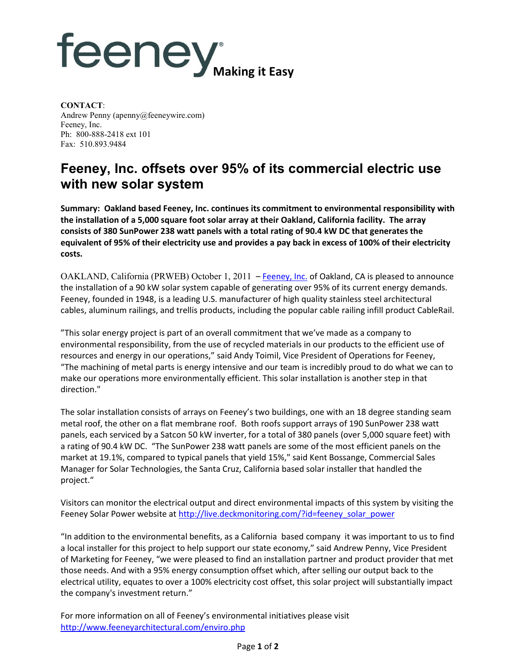## **Making it Easy**

**CONTACT**: Andrew Penny (apenny@feeneywire.com) Feeney, Inc. Ph: 800-888-2418 ext 101 Fax: 510.893.9484

## **Feeney, Inc. offsets over 95% of its commercial electric use with new solar system**

**Summary: Oakland based Feeney, Inc. continues its commitment to environmental responsibility with the installation of a 5,000 square foot solar array at their Oakland, California facility. The array consists of 380 SunPower 238 watt panels with a total rating of 90.4 kW DC that generates the equivalent of 95% of their electricity use and provides a pay back in excess of 100% of their electricity costs.** 

OAKLAND, California (PRWEB) October 1, 2011 - [Feeney, Inc.](http://www.feeneyarchitectural.com/about.php) of Oakland, CA is pleased to announce the installation of a 90 kW solar system capable of generating over 95% of its current energy demands. Feeney, founded in 1948, is a leading U.S. manufacturer of high quality stainless steel architectural cables, aluminum railings, and trellis products, including the popular cable railing infill product CableRail.

"This solar energy project is part of an overall commitment that we've made as a company to environmental responsibility, from the use of recycled materials in our products to the efficient use of resources and energy in our operations," said Andy Toimil, Vice President of Operations for Feeney, "The machining of metal parts is energy intensive and our team is incredibly proud to do what we can to make our operations more environmentally efficient. This solar installation is another step in that direction."

The solar installation consists of arrays on Feeney's two buildings, one with an 18 degree standing seam metal roof, the other on a flat membrane roof. Both roofs support arrays of 190 SunPower 238 watt panels, each serviced by a Satcon 50 kW inverter, for a total of 380 panels (over 5,000 square feet) with a rating of 90.4 kW DC. "The SunPower 238 watt panels are some of the most efficient panels on the market at 19.1%, compared to typical panels that yield 15%," said Kent Bossange, Commercial Sales Manager for Solar Technologies, the Santa Cruz, California based solar installer that handled the project."

Visitors can monitor the electrical output and direct environmental impacts of this system by visiting the Feeney Solar Power website at [http://live.deckmonitoring.com/?id=feeney\\_solar\\_power](http://live.deckmonitoring.com/?id=feeney_solar_power)

"In addition to the environmental benefits, as a California based company it was important to us to find a local installer for this project to help support our state economy," said Andrew Penny, Vice President of Marketing for Feeney, "we were pleased to find an installation partner and product provider that met those needs. And with a 95% energy consumption offset which, after selling our output back to the electrical utility, equates to over a 100% electricity cost offset, this solar project will substantially impact the company's investment return."

For more information on all of Feeney's environmental initiatives please visit <http://www.feeneyarchitectural.com/enviro.php>